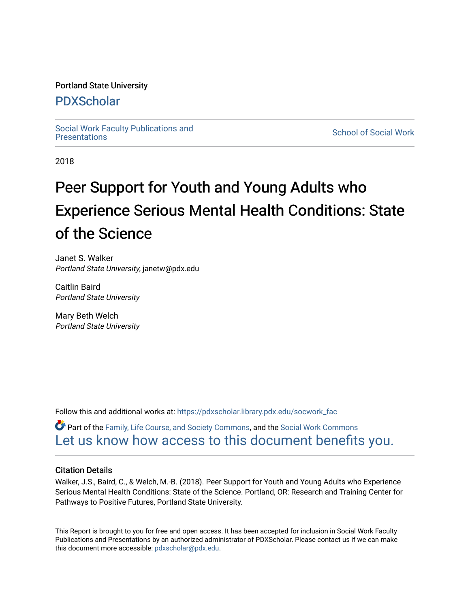#### Portland State University

#### [PDXScholar](https://pdxscholar.library.pdx.edu/)

Social Work Faculty Publications and<br>Presentations

**School of Social Work** 

2018

## Peer Support for Youth and Young Adults who Experience Serious Mental Health Conditions: State of the Science

Janet S. Walker Portland State University, janetw@pdx.edu

Caitlin Baird Portland State University

Mary Beth Welch Portland State University

Follow this and additional works at: [https://pdxscholar.library.pdx.edu/socwork\\_fac](https://pdxscholar.library.pdx.edu/socwork_fac?utm_source=pdxscholar.library.pdx.edu%2Fsocwork_fac%2F233&utm_medium=PDF&utm_campaign=PDFCoverPages) 

Part of the [Family, Life Course, and Society Commons,](http://network.bepress.com/hgg/discipline/419?utm_source=pdxscholar.library.pdx.edu%2Fsocwork_fac%2F233&utm_medium=PDF&utm_campaign=PDFCoverPages) and the [Social Work Commons](http://network.bepress.com/hgg/discipline/713?utm_source=pdxscholar.library.pdx.edu%2Fsocwork_fac%2F233&utm_medium=PDF&utm_campaign=PDFCoverPages)  [Let us know how access to this document benefits you.](http://library.pdx.edu/services/pdxscholar-services/pdxscholar-feedback/?ref=https://pdxscholar.library.pdx.edu/socwork_fac/233) 

#### Citation Details

Walker, J.S., Baird, C., & Welch, M.-B. (2018). Peer Support for Youth and Young Adults who Experience Serious Mental Health Conditions: State of the Science. Portland, OR: Research and Training Center for Pathways to Positive Futures, Portland State University.

This Report is brought to you for free and open access. It has been accepted for inclusion in Social Work Faculty Publications and Presentations by an authorized administrator of PDXScholar. Please contact us if we can make this document more accessible: [pdxscholar@pdx.edu.](mailto:pdxscholar@pdx.edu)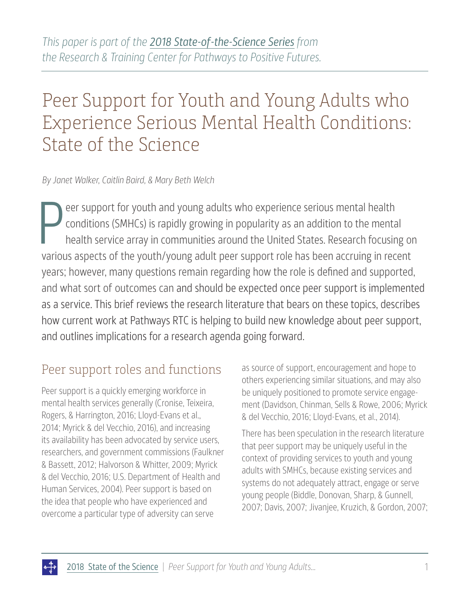# Peer Support for Youth and Young Adults who Experience Serious Mental Health Conditions: State of the Science

*By Janet Walker, Caitlin Baird, & Mary Beth Welch*

P eer support for youth and young adults who experience serious mental health conditions (SMHCs) is rapidly growing in popularity as an addition to the mental health service array in communities around the United States. Research focusing on various aspects of the youth/young adult peer support role has been accruing in recent years; however, many questions remain regarding how the role is defined and supported, and what sort of outcomes can and should be expected once peer support is implemented as a service. This brief reviews the research literature that bears on these topics, describes how current work at Pathways RTC is helping to build new knowledge about peer support, and outlines implications for a research agenda going forward.

#### Peer support roles and functions

Peer support is a quickly emerging workforce in mental health services generally (Cronise, Teixeira, Rogers, & Harrington, 2016; Lloyd-Evans et al., 2014; Myrick & del Vecchio, 2016), and increasing its availability has been advocated by service users, researchers, and government commissions (Faulkner & Bassett, 2012; Halvorson & Whitter, 2009; Myrick & del Vecchio, 2016; U.S. Department of Health and Human Services, 2004). Peer support is based on the idea that people who have experienced and overcome a particular type of adversity can serve

as source of support, encouragement and hope to others experiencing similar situations, and may also be uniquely positioned to promote service engagement (Davidson, Chinman, Sells & Rowe, 2006; Myrick & del Vecchio, 2016; Lloyd-Evans, et al., 2014).

There has been speculation in the research literature that peer support may be uniquely useful in the context of providing services to youth and young adults with SMHCs, because existing services and systems do not adequately attract, engage or serve young people (Biddle, Donovan, Sharp, & Gunnell, 2007; Davis, 2007; Jivanjee, Kruzich, & Gordon, 2007;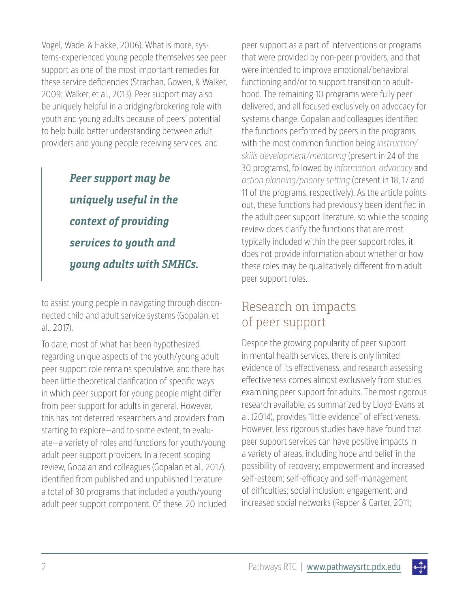Vogel, Wade, & Hakke, 2006). What is more, systems-experienced young people themselves see peer support as one of the most important remedies for these service deficiencies (Strachan, Gowen, & Walker, 2009; Walker, et al., 2013). Peer support may also be uniquely helpful in a bridging/brokering role with youth and young adults because of peers' potential to help build better understanding between adult providers and young people receiving services, and

> **Peer support may be uniquely useful in the context of providing services to youth and young adults with SMHCs.**

to assist young people in navigating through disconnected child and adult service systems (Gopalan, et al., 2017).

To date, most of what has been hypothesized regarding unique aspects of the youth/young adult peer support role remains speculative, and there has been little theoretical clarification of specific ways in which peer support for young people might differ from peer support for adults in general. However, this has not deterred researchers and providers from starting to explore—and to some extent, to evaluate—a variety of roles and functions for youth/young adult peer support providers. In a recent scoping review, Gopalan and colleagues (Gopalan et al., 2017). identified from published and unpublished literature a total of 30 programs that included a youth/young adult peer support component. Of these, 20 included

peer support as a part of interventions or programs that were provided by non-peer providers, and that were intended to improve emotional/behavioral functioning and/or to support transition to adulthood. The remaining 10 programs were fully peer delivered, and all focused exclusively on advocacy for systems change. Gopalan and colleagues identified the functions performed by peers in the programs, with the most common function being *instruction/ skills development/mentoring* (present in 24 of the 30 programs), followed by *information, advocacy* and *action planning/priority setting* (present in 18, 17 and 11 of the programs, respectively). As the article points out, these functions had previously been identified in the adult peer support literature, so while the scoping review does clarify the functions that are most typically included within the peer support roles, it does not provide information about whether or how these roles may be qualitatively different from adult peer support roles.

#### Research on impacts of peer support

Despite the growing popularity of peer support in mental health services, there is only limited evidence of its effectiveness, and research assessing effectiveness comes almost exclusively from studies examining peer support for adults. The most rigorous research available, as summarized by Lloyd-Evans et al. (2014), provides "little evidence" of effectiveness. However, less rigorous studies have have found that peer support services can have positive impacts in a variety of areas, including hope and belief in the possibility of recovery; empowerment and increased self-esteem; self-efficacy and self-management of difficulties; social inclusion; engagement; and increased social networks (Repper & Carter, 2011;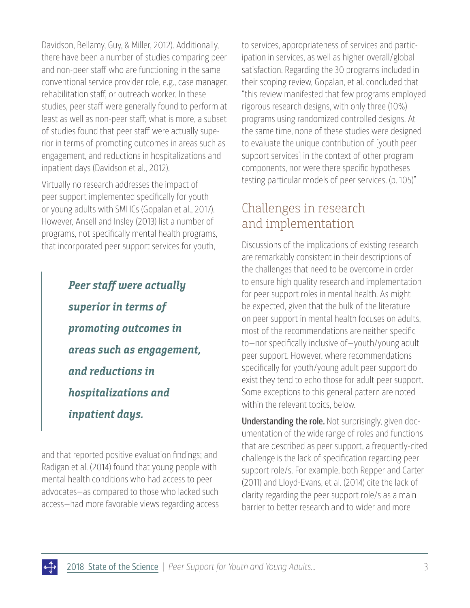Davidson, Bellamy, Guy, & Miller, 2012). Additionally, there have been a number of studies comparing peer and non-peer staff who are functioning in the same conventional service provider role, e.g., case manager, rehabilitation staff, or outreach worker. In these studies, peer staff were generally found to perform at least as well as non-peer staff; what is more, a subset of studies found that peer staff were actually superior in terms of promoting outcomes in areas such as engagement, and reductions in hospitalizations and inpatient days (Davidson et al., 2012).

Virtually no research addresses the impact of peer support implemented specifically for youth or young adults with SMHCs (Gopalan et al., 2017). However, Ansell and Insley (2013) list a number of programs, not specifically mental health programs, that incorporated peer support services for youth,

> **Peer staff were actually superior in terms of promoting outcomes in areas such as engagement, and reductions in hospitalizations and inpatient days.**

and that reported positive evaluation findings; and Radigan et al. (2014) found that young people with mental health conditions who had access to peer advocates—as compared to those who lacked such access—had more favorable views regarding access to services, appropriateness of services and participation in services, as well as higher overall/global satisfaction. Regarding the 30 programs included in their scoping review, Gopalan, et al. concluded that "this review manifested that few programs employed rigorous research designs, with only three (10%) programs using randomized controlled designs. At the same time, none of these studies were designed to evaluate the unique contribution of [youth peer support services] in the context of other program components, nor were there specific hypotheses testing particular models of peer services. (p. 105)"

## Challenges in research and implementation

Discussions of the implications of existing research are remarkably consistent in their descriptions of the challenges that need to be overcome in order to ensure high quality research and implementation for peer support roles in mental health. As might be expected, given that the bulk of the literature on peer support in mental health focuses on adults, most of the recommendations are neither specific to—nor specifically inclusive of—youth/young adult peer support. However, where recommendations specifically for youth/young adult peer support do exist they tend to echo those for adult peer support. Some exceptions to this general pattern are noted within the relevant topics, below.

Understanding the role. Not surprisingly, given documentation of the wide range of roles and functions that are described as peer support, a frequently-cited challenge is the lack of specification regarding peer support role/s. For example, both Repper and Carter (2011) and Lloyd-Evans, et al. (2014) cite the lack of clarity regarding the peer support role/s as a main barrier to better research and to wider and more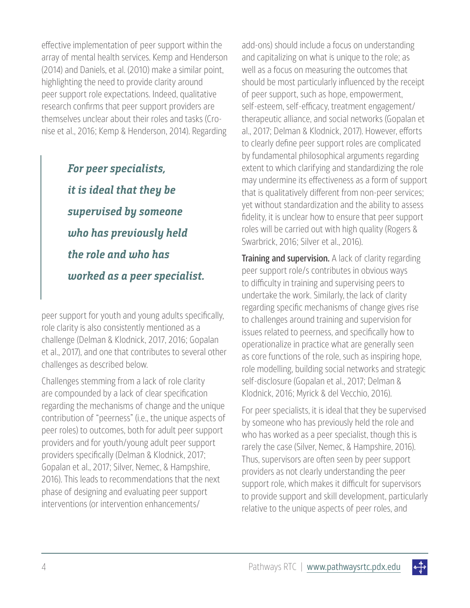effective implementation of peer support within the array of mental health services. Kemp and Henderson (2014) and Daniels, et al. (2010) make a similar point, highlighting the need to provide clarity around peer support role expectations. Indeed, qualitative research confirms that peer support providers are themselves unclear about their roles and tasks (Cronise et al., 2016; Kemp & Henderson, 2014). Regarding

> **For peer specialists, it is ideal that they be supervised by someone who has previously held the role and who has worked as a peer specialist.**

peer support for youth and young adults specifically, role clarity is also consistently mentioned as a challenge (Delman & Klodnick, 2017, 2016; Gopalan et al., 2017), and one that contributes to several other challenges as described below.

Challenges stemming from a lack of role clarity are compounded by a lack of clear specification regarding the mechanisms of change and the unique contribution of "peerness" (i.e., the unique aspects of peer roles) to outcomes, both for adult peer support providers and for youth/young adult peer support providers specifically (Delman & Klodnick, 2017; Gopalan et al., 2017; Silver, Nemec, & Hampshire, 2016). This leads to recommendations that the next phase of designing and evaluating peer support interventions (or intervention enhancements/

add-ons) should include a focus on understanding and capitalizing on what is unique to the role; as well as a focus on measuring the outcomes that should be most particularly influenced by the receipt of peer support, such as hope, empowerment, self-esteem, self-efficacy, treatment engagement/ therapeutic alliance, and social networks (Gopalan et al., 2017; Delman & Klodnick, 2017). However, efforts to clearly define peer support roles are complicated by fundamental philosophical arguments regarding extent to which clarifying and standardizing the role may undermine its effectiveness as a form of support that is qualitatively different from non-peer services; yet without standardization and the ability to assess fidelity, it is unclear how to ensure that peer support roles will be carried out with high quality (Rogers & Swarbrick, 2016; Silver et al., 2016).

Training and supervision. A lack of clarity regarding peer support role/s contributes in obvious ways to difficulty in training and supervising peers to undertake the work. Similarly, the lack of clarity regarding specific mechanisms of change gives rise to challenges around training and supervision for issues related to peerness, and specifically how to operationalize in practice what are generally seen as core functions of the role, such as inspiring hope, role modelling, building social networks and strategic self-disclosure (Gopalan et al., 2017; Delman & Klodnick, 2016; Myrick & del Vecchio, 2016).

For peer specialists, it is ideal that they be supervised by someone who has previously held the role and who has worked as a peer specialist, though this is rarely the case (Silver, Nemec, & Hampshire, 2016). Thus, supervisors are often seen by peer support providers as not clearly understanding the peer support role, which makes it difficult for supervisors to provide support and skill development, particularly relative to the unique aspects of peer roles, and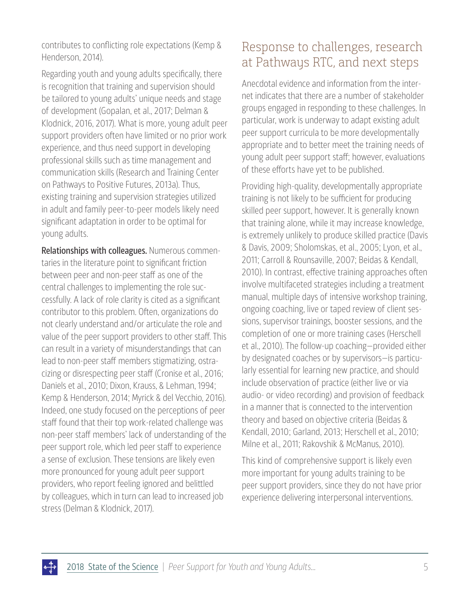contributes to conflicting role expectations (Kemp & Henderson, 2014).

Regarding youth and young adults specifically, there is recognition that training and supervision should be tailored to young adults' unique needs and stage of development (Gopalan, et al., 2017; Delman & Klodnick, 2016, 2017). What is more, young adult peer support providers often have limited or no prior work experience, and thus need support in developing professional skills such as time management and communication skills (Research and Training Center on Pathways to Positive Futures, 2013a). Thus, existing training and supervision strategies utilized in adult and family peer-to-peer models likely need significant adaptation in order to be optimal for young adults.

Relationships with colleagues. Numerous commentaries in the literature point to significant friction between peer and non-peer staff as one of the central challenges to implementing the role successfully. A lack of role clarity is cited as a significant contributor to this problem. Often, organizations do not clearly understand and/or articulate the role and value of the peer support providers to other staff. This can result in a variety of misunderstandings that can lead to non-peer staff members stigmatizing, ostracizing or disrespecting peer staff (Cronise et al., 2016; Daniels et al., 2010; Dixon, Krauss, & Lehman, 1994; Kemp & Henderson, 2014; Myrick & del Vecchio, 2016). Indeed, one study focused on the perceptions of peer staff found that their top work-related challenge was non-peer staff members' lack of understanding of the peer support role, which led peer staff to experience a sense of exclusion. These tensions are likely even more pronounced for young adult peer support providers, who report feeling ignored and belittled by colleagues, which in turn can lead to increased job stress (Delman & Klodnick, 2017).

### Response to challenges, research at Pathways RTC, and next steps

Anecdotal evidence and information from the internet indicates that there are a number of stakeholder groups engaged in responding to these challenges. In particular, work is underway to adapt existing adult peer support curricula to be more developmentally appropriate and to better meet the training needs of young adult peer support staff; however, evaluations of these efforts have yet to be published.

Providing high-quality, developmentally appropriate training is not likely to be sufficient for producing skilled peer support, however. It is generally known that training alone, while it may increase knowledge, is extremely unlikely to produce skilled practice (Davis & Davis, 2009; Sholomskas, et al., 2005; Lyon, et al., 2011; Carroll & Rounsaville, 2007; Beidas & Kendall, 2010). In contrast, effective training approaches often involve multifaceted strategies including a treatment manual, multiple days of intensive workshop training, ongoing coaching, live or taped review of client sessions, supervisor trainings, booster sessions, and the completion of one or more training cases (Herschell et al., 2010). The follow-up coaching—provided either by designated coaches or by supervisors—is particularly essential for learning new practice, and should include observation of practice (either live or via audio- or video recording) and provision of feedback in a manner that is connected to the intervention theory and based on objective criteria (Beidas & Kendall, 2010; Garland, 2013; Herschell et al., 2010; Milne et al., 2011; Rakovshik & McManus, 2010).

This kind of comprehensive support is likely even more important for young adults training to be peer support providers, since they do not have prior experience delivering interpersonal interventions.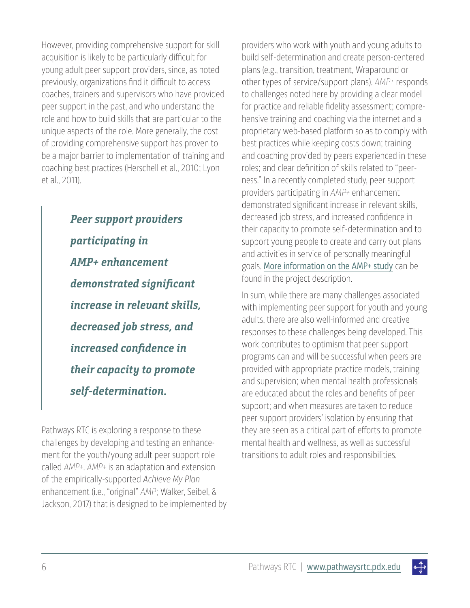However, providing comprehensive support for skill acquisition is likely to be particularly difficult for young adult peer support providers, since, as noted previously, organizations find it difficult to access coaches, trainers and supervisors who have provided peer support in the past, and who understand the role and how to build skills that are particular to the unique aspects of the role. More generally, the cost of providing comprehensive support has proven to be a major barrier to implementation of training and coaching best practices (Herschell et al., 2010; Lyon et al., 2011).

> **Peer support providers participating in AMP+ enhancement demonstrated significant increase in relevant skills, decreased job stress, and increased confidence in their capacity to promote self-determination.**

Pathways RTC is exploring a response to these challenges by developing and testing an enhancement for the youth/young adult peer support role called *AMP+*. *AMP+* is an adaptation and extension of the empirically-supported *Achieve My Plan* enhancement (i.e., "original" *AMP*; Walker, Seibel, & Jackson, 2017) that is designed to be implemented by

providers who work with youth and young adults to build self-determination and create person-centered plans (e.g., transition, treatment, Wraparound or other types of service/support plans). *AMP+* responds to challenges noted here by providing a clear model for practice and reliable fidelity assessment; comprehensive training and coaching via the internet and a proprietary web-based platform so as to comply with best practices while keeping costs down; training and coaching provided by peers experienced in these roles; and clear definition of skills related to "peerness." In a recently completed study, peer support providers participating in *AMP+* enhancement demonstrated significant increase in relevant skills, decreased job stress, and increased confidence in their capacity to promote self-determination and to support young people to create and carry out plans and activities in service of personally meaningful goals. [More information on the AMP+ study](https://www.pathwaysrtc.pdx.edu/p5-achieve-my-plan-plus) can be found in the project description.

In sum, while there are many challenges associated with implementing peer support for youth and young adults, there are also well-informed and creative responses to these challenges being developed. This work contributes to optimism that peer support programs can and will be successful when peers are provided with appropriate practice models, training and supervision; when mental health professionals are educated about the roles and benefits of peer support; and when measures are taken to reduce peer support providers' isolation by ensuring that they are seen as a critical part of efforts to promote mental health and wellness, as well as successful transitions to adult roles and responsibilities.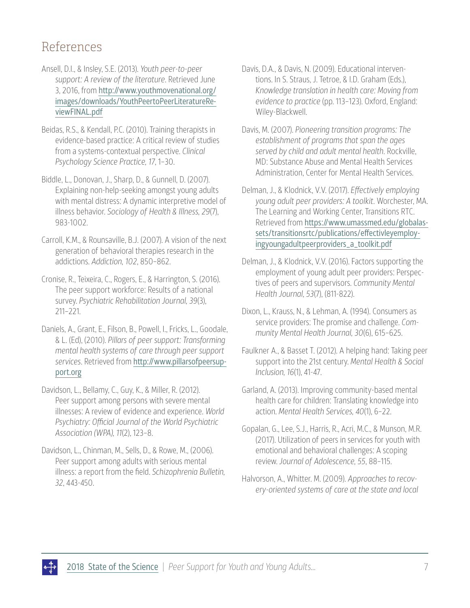#### References

- Ansell, D.I., & Insley, S.E. (2013). *Youth peer-to-peer support: A review of the literature*. Retrieved June 3, 2016, from [http://www.youthmovenational.org/](http://www.youthmovenational.org/images/downloads/YouthPeertoPeerLiteratureReviewFINAL.pdf) [images/downloads/YouthPeertoPeerLiteratureRe](http://www.youthmovenational.org/images/downloads/YouthPeertoPeerLiteratureReviewFINAL.pdf)[viewFINAL.pdf](http://www.youthmovenational.org/images/downloads/YouthPeertoPeerLiteratureReviewFINAL.pdf)
- Beidas, R.S., & Kendall, P.C. (2010). Training therapists in evidence-based practice: A critical review of studies from a systems-contextual perspective. *Clinical Psychology Science Practice, 17*, 1–30.
- Biddle, L., Donovan, J., Sharp, D., & Gunnell, D. (2007). Explaining non-help-seeking amongst young adults with mental distress: A dynamic interpretive model of illness behavior. *Sociology of Health & Illness, 29*(7), 983-1002.
- Carroll, K.M., & Rounsaville, B.J. (2007). A vision of the next generation of behavioral therapies research in the addictions. *Addiction, 102*, 850–862.
- Cronise, R., Teixeira, C., Rogers, E., & Harrington, S. (2016). The peer support workforce: Results of a national survey. *Psychiatric Rehabilitation Journal, 39*(3), 211–221.
- Daniels, A., Grant, E., Filson, B., Powell, I., Fricks, L., Goodale, & L. (Ed), (2010). *Pillars of peer support: Transforming mental health systems of care through peer support services*. Retrieved from [http://www.pillarsofpeersup](http://www.pillarsofpeersupport.org)[port.org](http://www.pillarsofpeersupport.org)
- Davidson, L., Bellamy, C., Guy, K., & Miller, R. (2012). Peer support among persons with severe mental illnesses: A review of evidence and experience. *World Psychiatry: Official Journal of the World Psychiatric Association (WPA), 11*(2), 123–8.
- Davidson, L., Chinman, M., Sells, D., & Rowe, M., (2006). Peer support among adults with serious mental illness: a report from the field. *Schizophrenia Bulletin, 32*, 443-450.
- Davis, D.A., & Davis, N. (2009). Educational interventions. In S. Straus, J. Tetroe, & I.D. Graham (Eds.), *Knowledge translation in health care: Moving from evidence to practice* (pp. 113–123). Oxford, England: Wiley-Blackwell.
- Davis, M. (2007). *Pioneering transition programs: The establishment of programs that span the ages served by child and adult mental health*. Rockville, MD: Substance Abuse and Mental Health Services Administration, Center for Mental Health Services.
- Delman, J., & Klodnick, V.V. (2017). *Effectively employing young adult peer providers: A toolkit*. Worchester, MA. The Learning and Working Center, Transitions RTC. Retrieved from [https://www.umassmed.edu/globalas](https://www.umassmed.edu/globalassets/transitionsrtc/publications/effectivleyemployingyoungadultpeer)[sets/transitionsrtc/publications/effectivleyemploy](https://www.umassmed.edu/globalassets/transitionsrtc/publications/effectivleyemployingyoungadultpeer)[ingyoungadultpeerproviders\\_a\\_toolkit.pdf](https://www.umassmed.edu/globalassets/transitionsrtc/publications/effectivleyemployingyoungadultpeer)
- Delman, J., & Klodnick, V.V. (2016). Factors supporting the employment of young adult peer providers: Perspectives of peers and supervisors. *Community Mental Health Journal, 53*(7), (811-822).
- Dixon, L., Krauss, N., & Lehman, A. (1994). Consumers as service providers: The promise and challenge. *Community Mental Health Journal, 30*(6), 615–625.
- Faulkner A., & Basset T. (2012). A helping hand: Taking peer support into the 21st century. *Mental Health & Social Inclusion, 16*(1), 41-47.
- Garland, A. (2013). Improving community-based mental health care for children: Translating knowledge into action. *Mental Health Services, 40*(1), 6–22.
- Gopalan, G., Lee, S.J., Harris, R., Acri, M.C., & Munson, M.R. (2017). Utilization of peers in services for youth with emotional and behavioral challenges: A scoping review. *Journal of Adolescence, 55*, 88–115.
- Halvorson, A., Whitter. M. (2009). *Approaches to recovery-oriented systems of care at the state and local*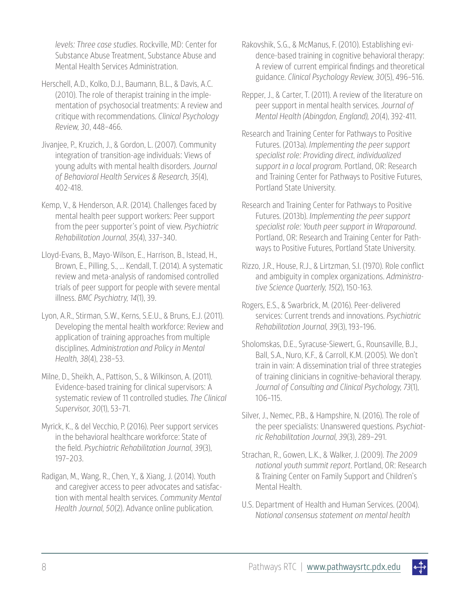*levels: Three case studies*. Rockville, MD: Center for Substance Abuse Treatment, Substance Abuse and Mental Health Services Administration.

- Herschell, A.D., Kolko, D.J., Baumann, B.L., & Davis, A.C. (2010). The role of therapist training in the implementation of psychosocial treatments: A review and critique with recommendations. *Clinical Psychology Review, 30*, 448–466.
- Jivanjee, P., Kruzich, J., & Gordon, L. (2007). Community integration of transition-age individuals: Views of young adults with mental health disorders. *Journal of Behavioral Health Services & Research, 35*(4), 402-418.
- Kemp, V., & Henderson, A.R. (2014). Challenges faced by mental health peer support workers: Peer support from the peer supporter's point of view. *Psychiatric Rehabilitation Journal, 35*(4), 337–340.
- Lloyd-Evans, B., Mayo-Wilson, E., Harrison, B., Istead, H., Brown, E., Pilling, S., … Kendall, T. (2014). A systematic review and meta-analysis of randomised controlled trials of peer support for people with severe mental illness. *BMC Psychiatry, 14*(1), 39.
- Lyon, A.R., Stirman, S.W., Kerns, S.E.U., & Bruns, E.J. (2011). Developing the mental health workforce: Review and application of training approaches from multiple disciplines. *Administration and Policy in Mental Health, 38*(4), 238–53.
- Milne, D., Sheikh, A., Pattison, S., & Wilkinson, A. (2011). Evidence-based training for clinical supervisors: A systematic review of 11 controlled studies. *The Clinical Supervisor, 30*(1), 53–71.
- Myrick, K., & del Vecchio, P. (2016). Peer support services in the behavioral healthcare workforce: State of the field. *Psychiatric Rehabilitation Journal, 39*(3), 197–203.
- Radigan, M., Wang, R., Chen, Y., & Xiang, J. (2014). Youth and caregiver access to peer advocates and satisfaction with mental health services. *Community Mental Health Journal, 50*(2). Advance online publication.
- Rakovshik, S.G., & McManus, F. (2010). Establishing evidence-based training in cognitive behavioral therapy: A review of current empirical findings and theoretical guidance. *Clinical Psychology Review, 30*(5), 496–516.
- Repper, J., & Carter, T. (2011). A review of the literature on peer support in mental health services. *Journal of Mental Health (Abingdon, England), 20*(4), 392-411.
- Research and Training Center for Pathways to Positive Futures. (2013a). *Implementing the peer support specialist role: Providing direct, individualized support in a local program*. Portland, OR: Research and Training Center for Pathways to Positive Futures, Portland State University.
- Research and Training Center for Pathways to Positive Futures. (2013b). *Implementing the peer support specialist role: Youth peer support in Wraparound*. Portland, OR: Research and Training Center for Pathways to Positive Futures, Portland State University.
- Rizzo, J.R., House, R.J., & Lirtzman, S.I. (1970). Role conflict and ambiguity in complex organizations. *Administrative Science Quarterly, 15*(2), 150-163.
- Rogers, E.S., & Swarbrick, M. (2016). Peer-delivered services: Current trends and innovations. *Psychiatric Rehabilitation Journal, 39*(3), 193–196.
- Sholomskas, D.E., Syracuse-Siewert, G., Rounsaville, B.J., Ball, S.A., Nuro, K.F., & Carroll, K.M. (2005). We don't train in vain: A dissemination trial of three strategies of training clinicians in cognitive-behavioral therapy. *Journal of Consulting and Clinical Psychology, 73*(1), 106–115.
- Silver, J., Nemec, P.B., & Hampshire, N. (2016). The role of the peer specialists: Unanswered questions. *Psychiatric Rehabilitation Journal, 39*(3), 289–291.
- Strachan, R., Gowen, L.K., & Walker, J. (2009). *The 2009 national youth summit report*. Portland, OR: Research & Training Center on Family Support and Children's Mental Health.
- U.S. Department of Health and Human Services. (2004). *National consensus statement on mental health*